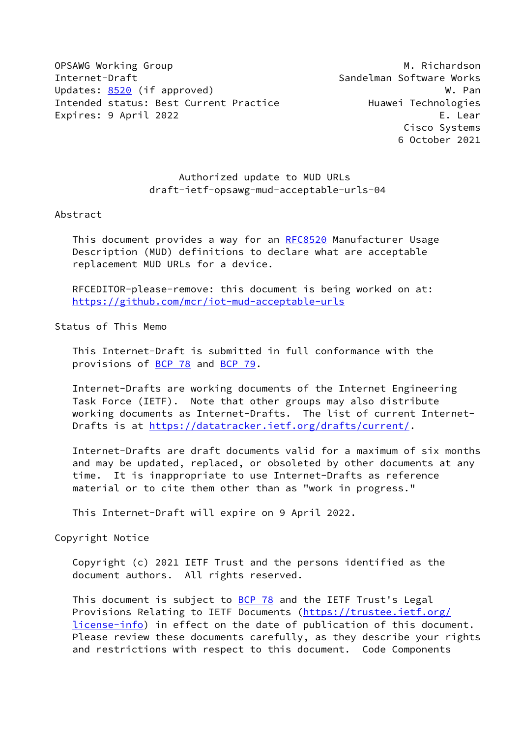OPSAWG Working Group Manuscription of the Muscription of Muscription Muscription of Muscription Muscription of Mu Internet-Draft Sandelman Software Works Updates: [8520](https://datatracker.ietf.org/doc/pdf/rfc8520) (if approved) W. Pannel and Museum Museum Museum Museum Museum Museum Museum Museum Museum Museum Intended status: Best Current Practice The Huawei Technologies Expires: 9 April 2022 **E.** Lear

 Cisco Systems 6 October 2021

# Authorized update to MUD URLs draft-ietf-opsawg-mud-acceptable-urls-04

#### Abstract

This document provides a way for an [RFC8520](https://datatracker.ietf.org/doc/pdf/rfc8520) Manufacturer Usage Description (MUD) definitions to declare what are acceptable replacement MUD URLs for a device.

 RFCEDITOR-please-remove: this document is being worked on at: <https://github.com/mcr/iot-mud-acceptable-urls>

# Status of This Memo

 This Internet-Draft is submitted in full conformance with the provisions of [BCP 78](https://datatracker.ietf.org/doc/pdf/bcp78) and [BCP 79](https://datatracker.ietf.org/doc/pdf/bcp79).

 Internet-Drafts are working documents of the Internet Engineering Task Force (IETF). Note that other groups may also distribute working documents as Internet-Drafts. The list of current Internet- Drafts is at<https://datatracker.ietf.org/drafts/current/>.

 Internet-Drafts are draft documents valid for a maximum of six months and may be updated, replaced, or obsoleted by other documents at any time. It is inappropriate to use Internet-Drafts as reference material or to cite them other than as "work in progress."

This Internet-Draft will expire on 9 April 2022.

#### Copyright Notice

 Copyright (c) 2021 IETF Trust and the persons identified as the document authors. All rights reserved.

This document is subject to **[BCP 78](https://datatracker.ietf.org/doc/pdf/bcp78)** and the IETF Trust's Legal Provisions Relating to IETF Documents ([https://trustee.ietf.org/](https://trustee.ietf.org/license-info) [license-info](https://trustee.ietf.org/license-info)) in effect on the date of publication of this document. Please review these documents carefully, as they describe your rights and restrictions with respect to this document. Code Components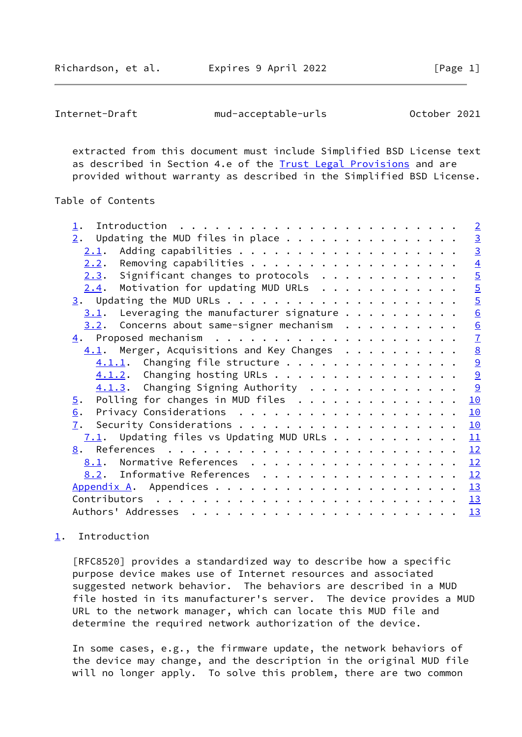<span id="page-1-1"></span>Internet-Draft mud-acceptable-urls October 2021

 extracted from this document must include Simplified BSD License text as described in Section 4.e of the [Trust Legal Provisions](https://trustee.ietf.org/license-info) and are provided without warranty as described in the Simplified BSD License.

## Table of Contents

|                                                                                    | $\overline{2}$  |
|------------------------------------------------------------------------------------|-----------------|
| Updating the MUD files in place $\ldots$<br>2.                                     | $\frac{3}{3}$   |
| 2.1.                                                                               |                 |
| 2.2.                                                                               | $\overline{4}$  |
| $2.3.$ Significant changes to protocols                                            | $\overline{5}$  |
| $2.4$ . Motivation for updating MUD URLs                                           | $\overline{5}$  |
|                                                                                    | $rac{5}{6}$     |
| $3.1$ . Leveraging the manufacturer signature                                      |                 |
| $3.2$ . Concerns about same-signer mechanism                                       | $\frac{6}{7}$   |
|                                                                                    |                 |
| $\underline{4.1}$ . Merger, Acquisitions and Key Changes                           | $\underline{8}$ |
|                                                                                    | $\underline{9}$ |
| $4.1.2$ . Changing hosting URLs                                                    | 9               |
| $4.1.3$ . Changing Signing Authority                                               | 9               |
| Polling for changes in MUD files $\ldots \ldots \ldots \ldots$<br>$\overline{5}$ . | 10              |
| 6.                                                                                 | 10              |
| 7.                                                                                 | 10              |
| $7.1$ . Updating files vs Updating MUD URLs                                        | 11              |
|                                                                                    | 12              |
| 8.1. Normative References                                                          | 12              |
| 8.2. Informative References                                                        | 12              |
|                                                                                    | 13              |
| Contributors $\ldots \ldots \ldots \ldots \ldots \ldots \ldots \ldots \ldots$      | 13              |
|                                                                                    | 13              |

# <span id="page-1-0"></span>[1](#page-1-0). Introduction

 [RFC8520] provides a standardized way to describe how a specific purpose device makes use of Internet resources and associated suggested network behavior. The behaviors are described in a MUD file hosted in its manufacturer's server. The device provides a MUD URL to the network manager, which can locate this MUD file and determine the required network authorization of the device.

 In some cases, e.g., the firmware update, the network behaviors of the device may change, and the description in the original MUD file will no longer apply. To solve this problem, there are two common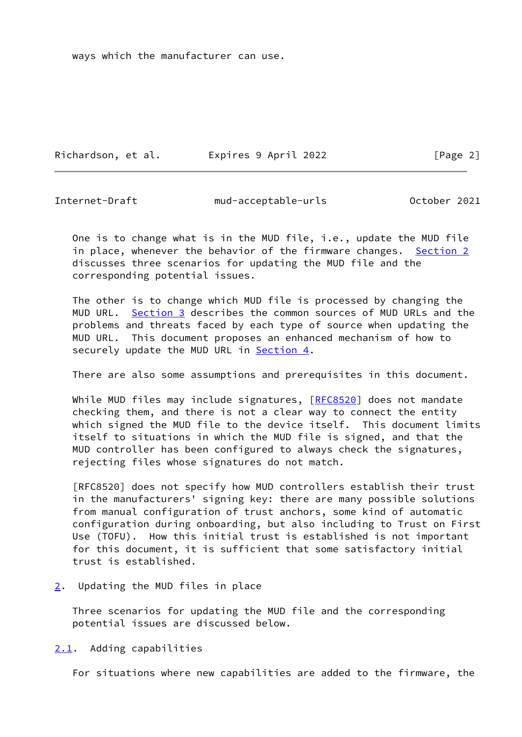ways which the manufacturer can use.

Richardson, et al. Expires 9 April 2022 [Page 2]

<span id="page-2-1"></span>

Internet-Draft mud-acceptable-urls October 2021

 One is to change what is in the MUD file, i.e., update the MUD file in place, whenever the behavior of the firmware changes. [Section 2](#page-2-0) discusses three scenarios for updating the MUD file and the corresponding potential issues.

 The other is to change which MUD file is processed by changing the MUD URL. [Section 3](#page-4-3) describes the common sources of MUD URLs and the problems and threats faced by each type of source when updating the MUD URL. This document proposes an enhanced mechanism of how to securely update the MUD URL in [Section 4.](#page-7-0)

There are also some assumptions and prerequisites in this document.

While MUD files may include signatures, [\[RFC8520](https://datatracker.ietf.org/doc/pdf/rfc8520)] does not mandate checking them, and there is not a clear way to connect the entity which signed the MUD file to the device itself. This document limits itself to situations in which the MUD file is signed, and that the MUD controller has been configured to always check the signatures, rejecting files whose signatures do not match.

 [RFC8520] does not specify how MUD controllers establish their trust in the manufacturers' signing key: there are many possible solutions from manual configuration of trust anchors, some kind of automatic configuration during onboarding, but also including to Trust on First Use (TOFU). How this initial trust is established is not important for this document, it is sufficient that some satisfactory initial trust is established.

<span id="page-2-0"></span> $2.$  $2.$  Updating the MUD files in place

 Three scenarios for updating the MUD file and the corresponding potential issues are discussed below.

<span id="page-2-2"></span>[2.1](#page-2-2). Adding capabilities

For situations where new capabilities are added to the firmware, the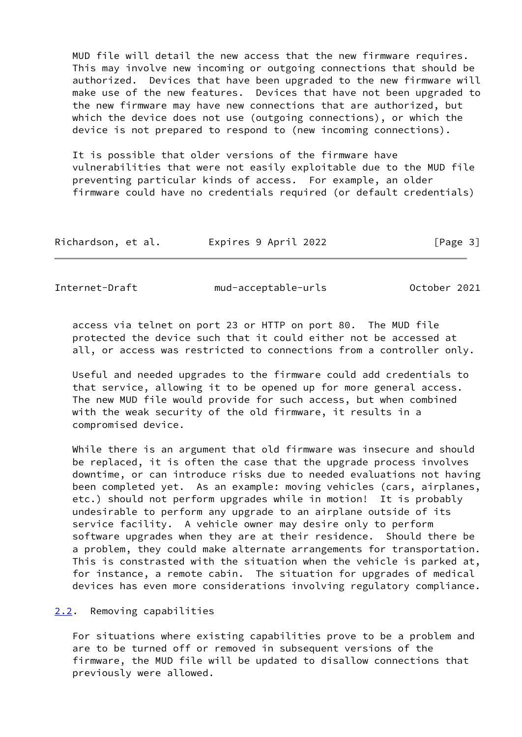MUD file will detail the new access that the new firmware requires. This may involve new incoming or outgoing connections that should be authorized. Devices that have been upgraded to the new firmware will make use of the new features. Devices that have not been upgraded to the new firmware may have new connections that are authorized, but which the device does not use (outgoing connections), or which the device is not prepared to respond to (new incoming connections).

 It is possible that older versions of the firmware have vulnerabilities that were not easily exploitable due to the MUD file preventing particular kinds of access. For example, an older firmware could have no credentials required (or default credentials)

| Richardson, et al. | Expires 9 April 2022 | [Page 3] |
|--------------------|----------------------|----------|
|--------------------|----------------------|----------|

<span id="page-3-1"></span>Internet-Draft mud-acceptable-urls October 2021

 access via telnet on port 23 or HTTP on port 80. The MUD file protected the device such that it could either not be accessed at all, or access was restricted to connections from a controller only.

 Useful and needed upgrades to the firmware could add credentials to that service, allowing it to be opened up for more general access. The new MUD file would provide for such access, but when combined with the weak security of the old firmware, it results in a compromised device.

 While there is an argument that old firmware was insecure and should be replaced, it is often the case that the upgrade process involves downtime, or can introduce risks due to needed evaluations not having been completed yet. As an example: moving vehicles (cars, airplanes, etc.) should not perform upgrades while in motion! It is probably undesirable to perform any upgrade to an airplane outside of its service facility. A vehicle owner may desire only to perform software upgrades when they are at their residence. Should there be a problem, they could make alternate arrangements for transportation. This is constrasted with the situation when the vehicle is parked at, for instance, a remote cabin. The situation for upgrades of medical devices has even more considerations involving regulatory compliance.

<span id="page-3-0"></span>[2.2](#page-3-0). Removing capabilities

 For situations where existing capabilities prove to be a problem and are to be turned off or removed in subsequent versions of the firmware, the MUD file will be updated to disallow connections that previously were allowed.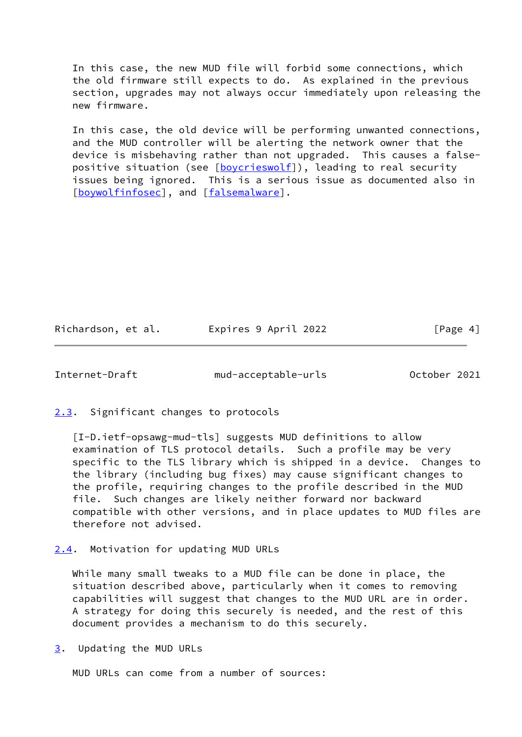In this case, the new MUD file will forbid some connections, which the old firmware still expects to do. As explained in the previous section, upgrades may not always occur immediately upon releasing the new firmware.

 In this case, the old device will be performing unwanted connections, and the MUD controller will be alerting the network owner that the device is misbehaving rather than not upgraded. This causes a false- positive situation (see [\[boycrieswolf](#page-13-2)]), leading to real security issues being ignored. This is a serious issue as documented also in [\[boywolfinfosec](#page-13-3)], and [[falsemalware\]](#page-13-4).

Richardson, et al. Expires 9 April 2022 [Page 4]

<span id="page-4-1"></span>

Internet-Draft mud-acceptable-urls October 2021

<span id="page-4-0"></span>[2.3](#page-4-0). Significant changes to protocols

 [I-D.ietf-opsawg-mud-tls] suggests MUD definitions to allow examination of TLS protocol details. Such a profile may be very specific to the TLS library which is shipped in a device. Changes to the library (including bug fixes) may cause significant changes to the profile, requiring changes to the profile described in the MUD file. Such changes are likely neither forward nor backward compatible with other versions, and in place updates to MUD files are therefore not advised.

# <span id="page-4-2"></span>[2.4](#page-4-2). Motivation for updating MUD URLs

 While many small tweaks to a MUD file can be done in place, the situation described above, particularly when it comes to removing capabilities will suggest that changes to the MUD URL are in order. A strategy for doing this securely is needed, and the rest of this document provides a mechanism to do this securely.

<span id="page-4-3"></span>[3](#page-4-3). Updating the MUD URLs

MUD URLs can come from a number of sources: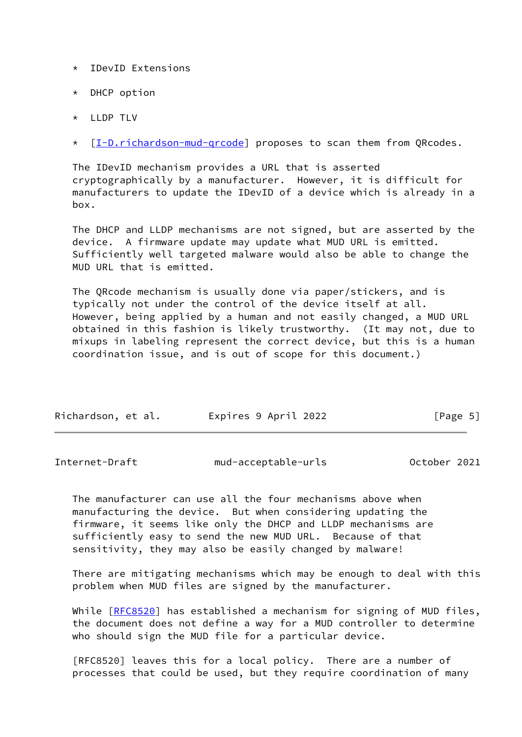- \* IDevID Extensions
- \* DHCP option
- \* LLDP TLV
- \* [[I-D.richardson-mud-qrcode\]](#page-13-5) proposes to scan them from QRcodes.

 The IDevID mechanism provides a URL that is asserted cryptographically by a manufacturer. However, it is difficult for manufacturers to update the IDevID of a device which is already in a box.

 The DHCP and LLDP mechanisms are not signed, but are asserted by the device. A firmware update may update what MUD URL is emitted. Sufficiently well targeted malware would also be able to change the MUD URL that is emitted.

 The QRcode mechanism is usually done via paper/stickers, and is typically not under the control of the device itself at all. However, being applied by a human and not easily changed, a MUD URL obtained in this fashion is likely trustworthy. (It may not, due to mixups in labeling represent the correct device, but this is a human coordination issue, and is out of scope for this document.)

| Richardson, et al. | Expires 9 April 2022 | [Page 5] |
|--------------------|----------------------|----------|
|                    |                      |          |

<span id="page-5-0"></span>

| Internet-Draft | mud-acceptable-urls | October 2021 |  |
|----------------|---------------------|--------------|--|
|                |                     |              |  |

 The manufacturer can use all the four mechanisms above when manufacturing the device. But when considering updating the firmware, it seems like only the DHCP and LLDP mechanisms are sufficiently easy to send the new MUD URL. Because of that sensitivity, they may also be easily changed by malware!

 There are mitigating mechanisms which may be enough to deal with this problem when MUD files are signed by the manufacturer.

While [[RFC8520](https://datatracker.ietf.org/doc/pdf/rfc8520)] has established a mechanism for signing of MUD files, the document does not define a way for a MUD controller to determine who should sign the MUD file for a particular device.

 [RFC8520] leaves this for a local policy. There are a number of processes that could be used, but they require coordination of many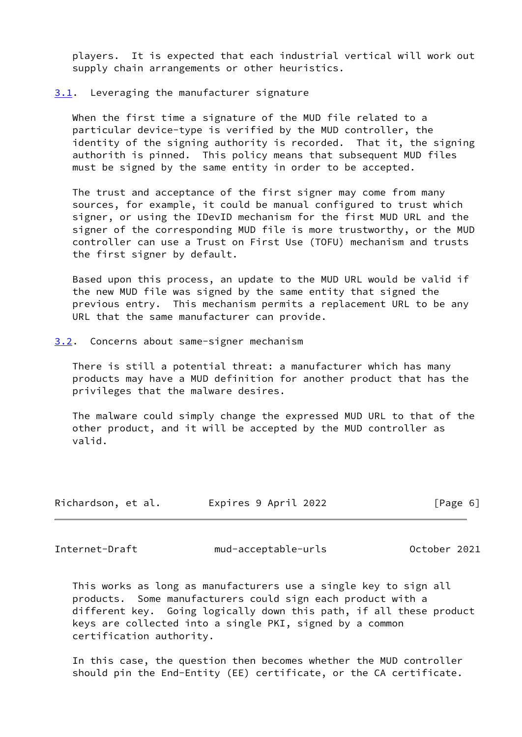players. It is expected that each industrial vertical will work out supply chain arrangements or other heuristics.

#### <span id="page-6-0"></span>[3.1](#page-6-0). Leveraging the manufacturer signature

 When the first time a signature of the MUD file related to a particular device-type is verified by the MUD controller, the identity of the signing authority is recorded. That it, the signing authorith is pinned. This policy means that subsequent MUD files must be signed by the same entity in order to be accepted.

 The trust and acceptance of the first signer may come from many sources, for example, it could be manual configured to trust which signer, or using the IDevID mechanism for the first MUD URL and the signer of the corresponding MUD file is more trustworthy, or the MUD controller can use a Trust on First Use (TOFU) mechanism and trusts the first signer by default.

 Based upon this process, an update to the MUD URL would be valid if the new MUD file was signed by the same entity that signed the previous entry. This mechanism permits a replacement URL to be any URL that the same manufacturer can provide.

<span id="page-6-1"></span>[3.2](#page-6-1). Concerns about same-signer mechanism

 There is still a potential threat: a manufacturer which has many products may have a MUD definition for another product that has the privileges that the malware desires.

 The malware could simply change the expressed MUD URL to that of the other product, and it will be accepted by the MUD controller as valid.

| Expires 9 April 2022<br>Richardson, et al. | [Page 6] |
|--------------------------------------------|----------|
|--------------------------------------------|----------|

<span id="page-6-2"></span>Internet-Draft mud-acceptable-urls October 2021

 This works as long as manufacturers use a single key to sign all products. Some manufacturers could sign each product with a different key. Going logically down this path, if all these product keys are collected into a single PKI, signed by a common certification authority.

 In this case, the question then becomes whether the MUD controller should pin the End-Entity (EE) certificate, or the CA certificate.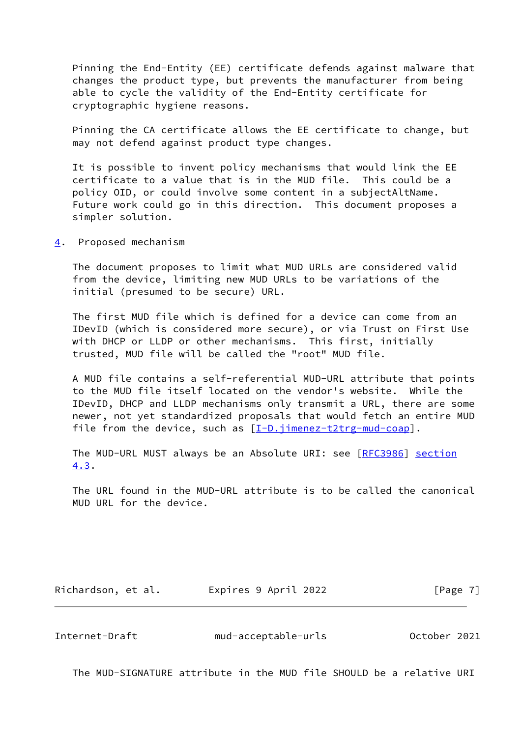Pinning the End-Entity (EE) certificate defends against malware that changes the product type, but prevents the manufacturer from being able to cycle the validity of the End-Entity certificate for cryptographic hygiene reasons.

 Pinning the CA certificate allows the EE certificate to change, but may not defend against product type changes.

 It is possible to invent policy mechanisms that would link the EE certificate to a value that is in the MUD file. This could be a policy OID, or could involve some content in a subjectAltName. Future work could go in this direction. This document proposes a simpler solution.

<span id="page-7-0"></span>[4](#page-7-0). Proposed mechanism

 The document proposes to limit what MUD URLs are considered valid from the device, limiting new MUD URLs to be variations of the initial (presumed to be secure) URL.

 The first MUD file which is defined for a device can come from an IDevID (which is considered more secure), or via Trust on First Use with DHCP or LLDP or other mechanisms. This first, initially trusted, MUD file will be called the "root" MUD file.

 A MUD file contains a self-referential MUD-URL attribute that points to the MUD file itself located on the vendor's website. While the IDevID, DHCP and LLDP mechanisms only transmit a URL, there are some newer, not yet standardized proposals that would fetch an entire MUD file from the device, such as  $[I-D.jimenez-t2trg-mud-coap]$  $[I-D.jimenez-t2trg-mud-coap]$ .

The MUD-URL MUST always be an Absolute URI: see [\[RFC3986](https://datatracker.ietf.org/doc/pdf/rfc3986)] section 4.3.

 The URL found in the MUD-URL attribute is to be called the canonical MUD URL for the device.

Richardson, et al. Expires 9 April 2022 [Page 7]

<span id="page-7-1"></span>Internet-Draft mud-acceptable-urls October 2021

The MUD-SIGNATURE attribute in the MUD file SHOULD be a relative URI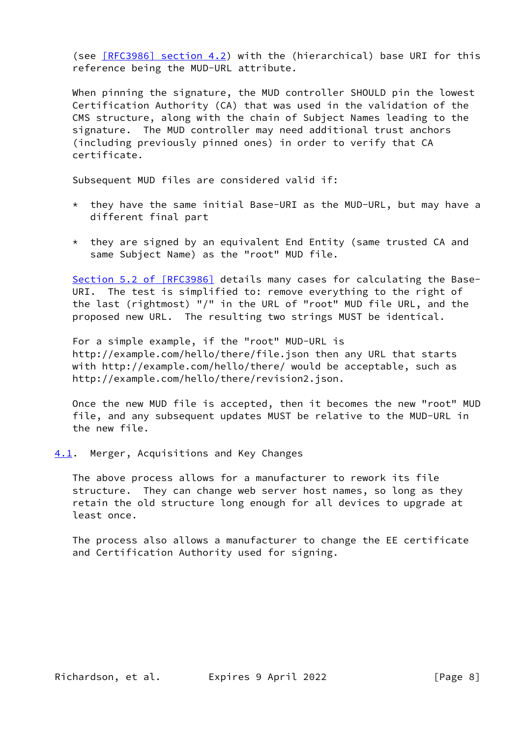(see [\[RFC3986\] section](https://datatracker.ietf.org/doc/pdf/rfc3986#section-4.2) 4.2) with the (hierarchical) base URI for this reference being the MUD-URL attribute.

 When pinning the signature, the MUD controller SHOULD pin the lowest Certification Authority (CA) that was used in the validation of the CMS structure, along with the chain of Subject Names leading to the signature. The MUD controller may need additional trust anchors (including previously pinned ones) in order to verify that CA certificate.

Subsequent MUD files are considered valid if:

- \* they have the same initial Base-URI as the MUD-URL, but may have a different final part
- $*$  they are signed by an equivalent End Entity (same trusted CA and same Subject Name) as the "root" MUD file.

 Section [5.2 of \[RFC3986\]](https://datatracker.ietf.org/doc/pdf/rfc3986#section-5.2) details many cases for calculating the Base- URI. The test is simplified to: remove everything to the right of the last (rightmost) "/" in the URL of "root" MUD file URL, and the proposed new URL. The resulting two strings MUST be identical.

 For a simple example, if the "root" MUD-URL is http://example.com/hello/there/file.json then any URL that starts with http://example.com/hello/there/ would be acceptable, such as http://example.com/hello/there/revision2.json.

 Once the new MUD file is accepted, then it becomes the new "root" MUD file, and any subsequent updates MUST be relative to the MUD-URL in the new file.

<span id="page-8-0"></span>[4.1](#page-8-0). Merger, Acquisitions and Key Changes

 The above process allows for a manufacturer to rework its file structure. They can change web server host names, so long as they retain the old structure long enough for all devices to upgrade at least once.

 The process also allows a manufacturer to change the EE certificate and Certification Authority used for signing.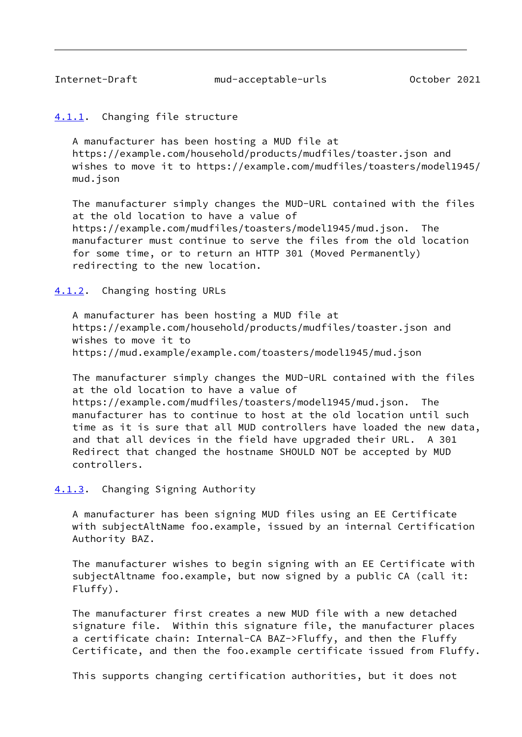<span id="page-9-1"></span>Internet-Draft mud-acceptable-urls October 2021

### <span id="page-9-0"></span>[4.1.1](#page-9-0). Changing file structure

 A manufacturer has been hosting a MUD file at https://example.com/household/products/mudfiles/toaster.json and wishes to move it to https://example.com/mudfiles/toasters/model1945/ mud.json

 The manufacturer simply changes the MUD-URL contained with the files at the old location to have a value of https://example.com/mudfiles/toasters/model1945/mud.json. The manufacturer must continue to serve the files from the old location for some time, or to return an HTTP 301 (Moved Permanently) redirecting to the new location.

<span id="page-9-2"></span>[4.1.2](#page-9-2). Changing hosting URLs

 A manufacturer has been hosting a MUD file at https://example.com/household/products/mudfiles/toaster.json and wishes to move it to https://mud.example/example.com/toasters/model1945/mud.json

 The manufacturer simply changes the MUD-URL contained with the files at the old location to have a value of https://example.com/mudfiles/toasters/model1945/mud.json. The manufacturer has to continue to host at the old location until such time as it is sure that all MUD controllers have loaded the new data, and that all devices in the field have upgraded their URL. A 301 Redirect that changed the hostname SHOULD NOT be accepted by MUD controllers.

### <span id="page-9-3"></span>[4.1.3](#page-9-3). Changing Signing Authority

 A manufacturer has been signing MUD files using an EE Certificate with subjectAltName foo.example, issued by an internal Certification Authority BAZ.

 The manufacturer wishes to begin signing with an EE Certificate with subjectAltname foo.example, but now signed by a public CA (call it: Fluffy).

 The manufacturer first creates a new MUD file with a new detached signature file. Within this signature file, the manufacturer places a certificate chain: Internal-CA BAZ->Fluffy, and then the Fluffy Certificate, and then the foo.example certificate issued from Fluffy.

This supports changing certification authorities, but it does not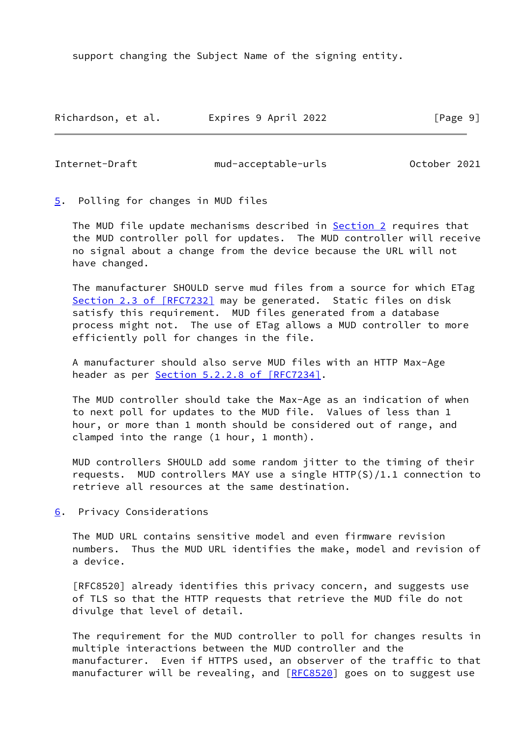support changing the Subject Name of the signing entity.

Richardson, et al. Expires 9 April 2022 [Page 9]

<span id="page-10-1"></span>

Internet-Draft mud-acceptable-urls October 2021

<span id="page-10-0"></span>[5](#page-10-0). Polling for changes in MUD files

The MUD file update mechanisms described in **Section 2** requires that the MUD controller poll for updates. The MUD controller will receive no signal about a change from the device because the URL will not have changed.

 The manufacturer SHOULD serve mud files from a source for which ETag Section [2.3 of \[RFC7232\]](https://datatracker.ietf.org/doc/pdf/rfc7232#section-2.3) may be generated. Static files on disk satisfy this requirement. MUD files generated from a database process might not. The use of ETag allows a MUD controller to more efficiently poll for changes in the file.

 A manufacturer should also serve MUD files with an HTTP Max-Age header as per Section [5.2.2.8 of \[RFC7234\]](https://datatracker.ietf.org/doc/pdf/rfc7234#section-5.2.2.8).

 The MUD controller should take the Max-Age as an indication of when to next poll for updates to the MUD file. Values of less than 1 hour, or more than 1 month should be considered out of range, and clamped into the range (1 hour, 1 month).

 MUD controllers SHOULD add some random jitter to the timing of their requests. MUD controllers MAY use a single HTTP(S)/1.1 connection to retrieve all resources at the same destination.

<span id="page-10-2"></span>[6](#page-10-2). Privacy Considerations

 The MUD URL contains sensitive model and even firmware revision numbers. Thus the MUD URL identifies the make, model and revision of a device.

 [RFC8520] already identifies this privacy concern, and suggests use of TLS so that the HTTP requests that retrieve the MUD file do not divulge that level of detail.

 The requirement for the MUD controller to poll for changes results in multiple interactions between the MUD controller and the manufacturer. Even if HTTPS used, an observer of the traffic to that manufacturer will be revealing, and [\[RFC8520](https://datatracker.ietf.org/doc/pdf/rfc8520)] goes on to suggest use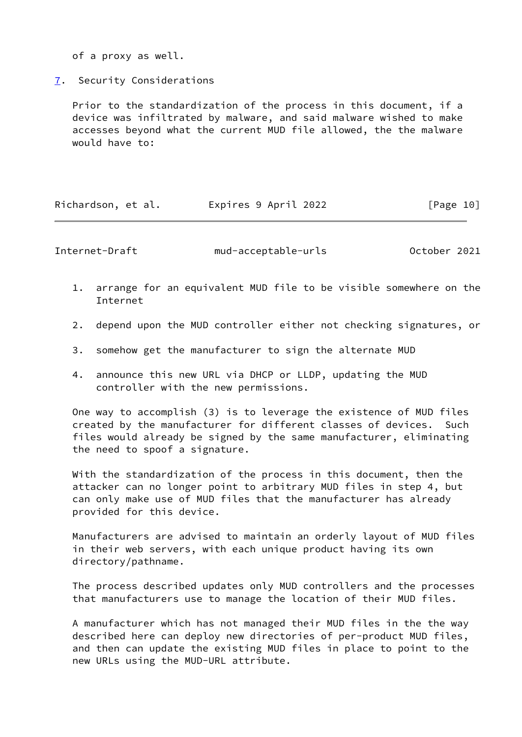of a proxy as well.

<span id="page-11-0"></span>[7](#page-11-0). Security Considerations

 Prior to the standardization of the process in this document, if a device was infiltrated by malware, and said malware wished to make accesses beyond what the current MUD file allowed, the the malware would have to:

| Richardson, et al. | Expires 9 April 2022 | [Page 10] |
|--------------------|----------------------|-----------|
|--------------------|----------------------|-----------|

<span id="page-11-1"></span>Internet-Draft mud-acceptable-urls October 2021

- 1. arrange for an equivalent MUD file to be visible somewhere on the Internet
- 2. depend upon the MUD controller either not checking signatures, or
- 3. somehow get the manufacturer to sign the alternate MUD
- 4. announce this new URL via DHCP or LLDP, updating the MUD controller with the new permissions.

 One way to accomplish (3) is to leverage the existence of MUD files created by the manufacturer for different classes of devices. Such files would already be signed by the same manufacturer, eliminating the need to spoof a signature.

 With the standardization of the process in this document, then the attacker can no longer point to arbitrary MUD files in step 4, but can only make use of MUD files that the manufacturer has already provided for this device.

 Manufacturers are advised to maintain an orderly layout of MUD files in their web servers, with each unique product having its own directory/pathname.

 The process described updates only MUD controllers and the processes that manufacturers use to manage the location of their MUD files.

 A manufacturer which has not managed their MUD files in the the way described here can deploy new directories of per-product MUD files, and then can update the existing MUD files in place to point to the new URLs using the MUD-URL attribute.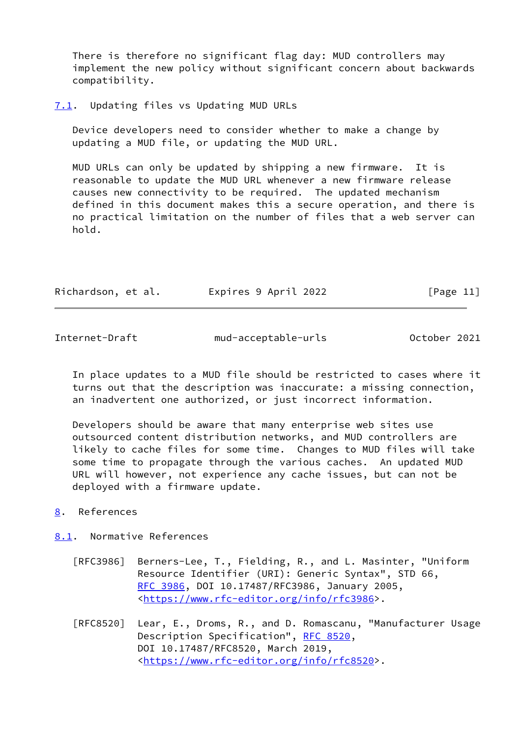There is therefore no significant flag day: MUD controllers may implement the new policy without significant concern about backwards compatibility.

<span id="page-12-0"></span>[7.1](#page-12-0). Updating files vs Updating MUD URLs

 Device developers need to consider whether to make a change by updating a MUD file, or updating the MUD URL.

 MUD URLs can only be updated by shipping a new firmware. It is reasonable to update the MUD URL whenever a new firmware release causes new connectivity to be required. The updated mechanism defined in this document makes this a secure operation, and there is no practical limitation on the number of files that a web server can hold.

| Richardson, et al. | Expires 9 April 2022 | [Page 11] |
|--------------------|----------------------|-----------|
|--------------------|----------------------|-----------|

<span id="page-12-2"></span>Internet-Draft mud-acceptable-urls October 2021

 In place updates to a MUD file should be restricted to cases where it turns out that the description was inaccurate: a missing connection, an inadvertent one authorized, or just incorrect information.

 Developers should be aware that many enterprise web sites use outsourced content distribution networks, and MUD controllers are likely to cache files for some time. Changes to MUD files will take some time to propagate through the various caches. An updated MUD URL will however, not experience any cache issues, but can not be deployed with a firmware update.

## <span id="page-12-1"></span>[8](#page-12-1). References

# <span id="page-12-3"></span>[8.1](#page-12-3). Normative References

- [RFC3986] Berners-Lee, T., Fielding, R., and L. Masinter, "Uniform Resource Identifier (URI): Generic Syntax", STD 66, [RFC 3986,](https://datatracker.ietf.org/doc/pdf/rfc3986) DOI 10.17487/RFC3986, January 2005, <[https://www.rfc-editor.org/info/rfc3986>](https://www.rfc-editor.org/info/rfc3986).
- [RFC8520] Lear, E., Droms, R., and D. Romascanu, "Manufacturer Usage Description Specification", [RFC 8520,](https://datatracker.ietf.org/doc/pdf/rfc8520) DOI 10.17487/RFC8520, March 2019, <[https://www.rfc-editor.org/info/rfc8520>](https://www.rfc-editor.org/info/rfc8520).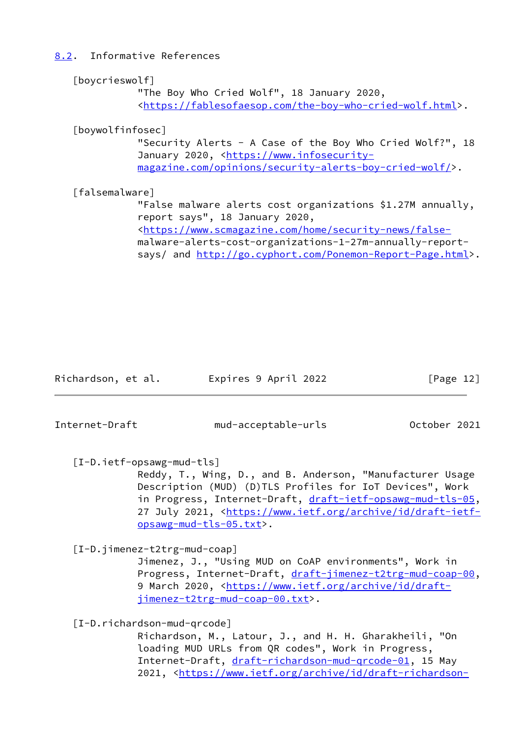<span id="page-13-0"></span>[8.2](#page-13-0). Informative References

<span id="page-13-3"></span><span id="page-13-2"></span>

| [boycrieswolf]                                                                    |
|-----------------------------------------------------------------------------------|
| "The Boy Who Cried Wolf", 18 January 2020,                                        |
| <https: fablesofaesop.com="" the-boy-who-cried-wolf.html="">.</https:>            |
| [boywolfinfosec]                                                                  |
| "Security Alerts - A Case of the Boy Who Cried Wolf?", $18$                       |
| January 2020, <https: td="" www.infosecurity-<=""></https:>                       |
| magazine.com/opinions/security-alerts-boy-cried-wolf/>.                           |
| [falsemalware]                                                                    |
| "False malware alerts cost organizations \$1.27M annually,                        |
| report says", 18 January 2020,                                                    |
| <https: false-<="" home="" security-news="" td="" www.scmagazine.com=""></https:> |

<span id="page-13-4"></span> malware-alerts-cost-organizations-1-27m-annually-report says/ and<http://go.cyphort.com/Ponemon-Report-Page.html>>.

Richardson, et al. Expires 9 April 2022 [Page 12]

<span id="page-13-1"></span>

Internet-Draft mud-acceptable-urls October 2021

[I-D.ietf-opsawg-mud-tls]

 Reddy, T., Wing, D., and B. Anderson, "Manufacturer Usage Description (MUD) (D)TLS Profiles for IoT Devices", Work in Progress, Internet-Draft, [draft-ietf-opsawg-mud-tls-05](https://datatracker.ietf.org/doc/pdf/draft-ietf-opsawg-mud-tls-05), 27 July 2021, [<https://www.ietf.org/archive/id/draft-ietf](https://www.ietf.org/archive/id/draft-ietf-opsawg-mud-tls-05.txt) [opsawg-mud-tls-05.txt>](https://www.ietf.org/archive/id/draft-ietf-opsawg-mud-tls-05.txt).

<span id="page-13-6"></span>[I-D.jimenez-t2trg-mud-coap]

 Jimenez, J., "Using MUD on CoAP environments", Work in Progress, Internet-Draft, [draft-jimenez-t2trg-mud-coap-00](https://datatracker.ietf.org/doc/pdf/draft-jimenez-t2trg-mud-coap-00), 9 March 2020, [<https://www.ietf.org/archive/id/draft](https://www.ietf.org/archive/id/draft-jimenez-t2trg-mud-coap-00.txt) [jimenez-t2trg-mud-coap-00.txt>](https://www.ietf.org/archive/id/draft-jimenez-t2trg-mud-coap-00.txt).

<span id="page-13-5"></span>[I-D.richardson-mud-qrcode]

 Richardson, M., Latour, J., and H. H. Gharakheili, "On loading MUD URLs from QR codes", Work in Progress, Internet-Draft, draft-richardson-mud-grcode-01, 15 May 2021, [<https://www.ietf.org/archive/id/draft-richardson-](https://www.ietf.org/archive/id/draft-richardson-mud-qrcode-01.txt)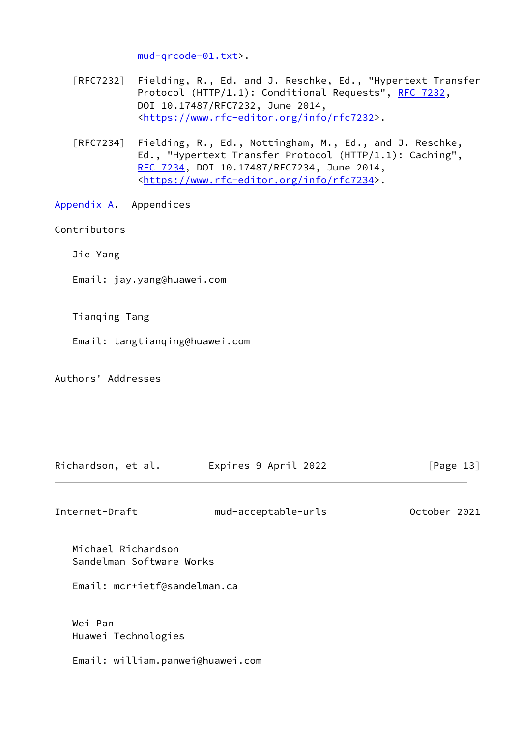[mud-qrcode-01.txt>](https://www.ietf.org/archive/id/draft-richardson-mud-qrcode-01.txt).

- [RFC7232] Fielding, R., Ed. and J. Reschke, Ed., "Hypertext Transfer Protocol (HTTP/1.1): Conditional Requests", [RFC 7232,](https://datatracker.ietf.org/doc/pdf/rfc7232) DOI 10.17487/RFC7232, June 2014, <[https://www.rfc-editor.org/info/rfc7232>](https://www.rfc-editor.org/info/rfc7232).
- [RFC7234] Fielding, R., Ed., Nottingham, M., Ed., and J. Reschke, Ed., "Hypertext Transfer Protocol (HTTP/1.1): Caching", [RFC 7234,](https://datatracker.ietf.org/doc/pdf/rfc7234) DOI 10.17487/RFC7234, June 2014, <[https://www.rfc-editor.org/info/rfc7234>](https://www.rfc-editor.org/info/rfc7234).
- <span id="page-14-0"></span>[Appendix A.](#page-14-0) Appendices

### Contributors

Jie Yang

Email: jay.yang@huawei.com

Tianqing Tang

- Email: tangtianqing@huawei.com
- Authors' Addresses

| Richardson, et al. | Expires 9 April 2022 | [Page 13] |  |
|--------------------|----------------------|-----------|--|
|                    |                      |           |  |

Internet-Draft mud-acceptable-urls October 2021

 Michael Richardson Sandelman Software Works

Email: mcr+ietf@sandelman.ca

 Wei Pan Huawei Technologies

Email: william.panwei@huawei.com